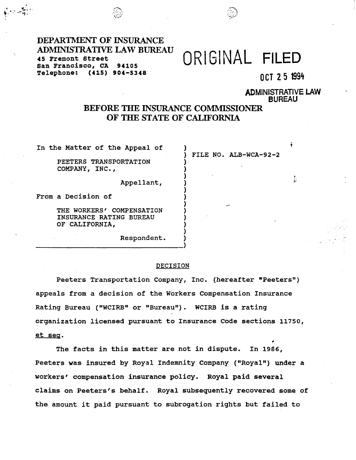### DEPARTMENT OF INSURANCE ADMJNISTRATIVE LAW BUREAU 45 Fremont Street San Francisco, CA **94105**  Telephone: **(415) 904-5348**

. .. ~-.,,. *:->-,* .,\_.\_.' ---~, ..., ·.\ -~ *-..::::--~-* <sup>J</sup> *·-;...·"i·)* \\_.:.~:,.., *-:* '

# ORIGINAL **FILED**

FILE NO. ALB-WCA-92-2

) and the contract of  $\mathcal{L}$  . The contract of  $\mathcal{L}$ ) the contract of the contract of the contract of the contract of the contract of the contract of the contract of the contract of the contract of the contract of the contract of the contract of the contract of the contrac

OCT 2 5 1994

ADMINISTRATIVE LAW BUREAU

## BEFORE THE INSURANCE COMMISSIONER OF THE STATE OF CALIFORNIA

) )

) ) ) ) ) ) )

In the Matter of the Appeal of

PEETERS TRANSPORTATION COMPANY *I* INC.,

Appellant,

From a Decision of

THE WORKERS' COMPENSATION INSURANCE RATING BUREAU OF **CALIFORNIA,** 

> \_\_\_\_\_\_\_\_\_\_\_\_\_\_\_\_ Respondent.  $\begin{pmatrix} 1 \\ 2 \end{pmatrix}$

#### DECISION

Peeters Transportation Company, Inc. (hereafter "Peeters") appeals from a decision of the Workers Compensation Insurance Rating Bureau ("WCIRB" or "Bureau"). WCIRB is a rating organization licensed pursuant to Insurance Code sections 11750, et seg. ,

The facts in this matter are not in dispute. In 1986, Peeters was insured by Royal Indemnity Company ("Royal") under a workers' compensation insurance policy. Royal paid several claims on Peeters's behalf. Royal subsequently recovered some of the amount it paid pursuant to subrogation rights but failed to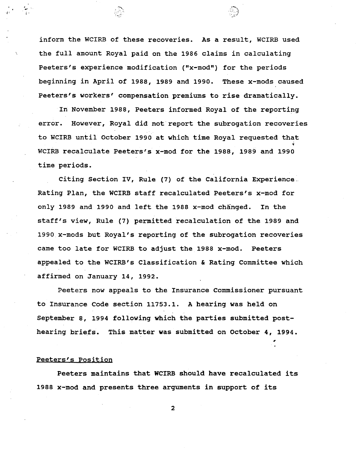inform the WCIRB of these recoveries. As a result, WCIRB used the full amount Royal paid on the 1986 claims in calculating Peeters's experience modification ("x-mod") for the periods beginning in April of 1988, 1989 and 1990. These x-mods caused Peeters's workers' compensation premiums to rise dramatically.

 $\cdot$   $\cdot$   $\cdot$   $\cdot$ 

"

..... -"~\ . .... \_., r-·

In November 1988, Peeters informed Royal of the reporting error. However, Royal did not report the subrogation recoveries to WCIRB until October 1990 at which time Royal requested that WCIRB recalculate Peeters's x-mod for the 1988, 1989 and 1990 time periods.

Citing Section IV, Rule (7) of the California Experience .. Rating Plan, the WCIRB staff recalculated Peeters's x-mod for only 1989 and 1990 and left the 1988 x-mod changed. In the staff's view, Rule (7) permitted recalculation of the 1989 and 1990 x-mods but Royal's reporting of the subrogation recoveries came too late for WCIRB to adjust the 1988 x-mod. Peeters appealed to the WCIRB's Classification & Rating Committee which affirmed on January 14, 1992.

Peeters now appeals to the Insurance Commissioner pursuant to Insurance Code section 11753.1. A hearing was held on September a, 1994 following **which** the parties submitted posthearing briefs. This matter was submitted on October 4, 1994.

#### Peeters's Position

Peeters maintains that **WCIRB** should **have** recalculated its 1988 x-mod and presents three arguments in support of its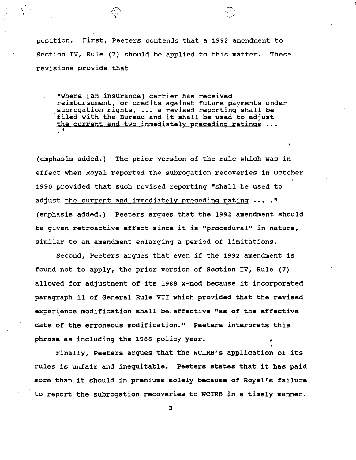position. First, Peeters contends that a 1992 amendment to Section IV, Rule (7) should be applied to this matter. These revisions provide that

··.:-'

'

:-"-. ·~· .. *. 'j* ., I'

"where [an insurance] carrier has received reimbursement, or credits against future payments under subrogation rights, ... a revised reporting shall be filed with the Bureau and it shall be used to adjust the current and two immediately preceding ratings ... "

(emphasis added.) The prior version of the rule which was in effect when Royal reported the subrogation recoveries in October 1990 provided that such revised reporting "shall be used to adjust the current and immediately preceding rating ... ." (emphasis added.) Peeters argues that the 1992 amendment should be given retroactive effect since it is "procedural" in nature, similar to an amendment enlarging a period of limitations.

Second, Peeters argues that even if the 1992 amendment is found not to apply, the prior version of Section IV, Rule (7) allowed for adjustment of its 1988 x-mod because it incorporated paragraph 11 of General Rule VII which provided that the revised experience modification shall be.effective "as of the effective date of the erroneous modification." Peeters interprets this phrase as including the 1988 policy year.

Finally, Peeters argues that the WCIRB's application of its rules is unfair and inequitable. Peeters states that it has paid more than it should in premiums solely because of Royal's failure to report the subrogation recoveries to WCIRB in a timely manner.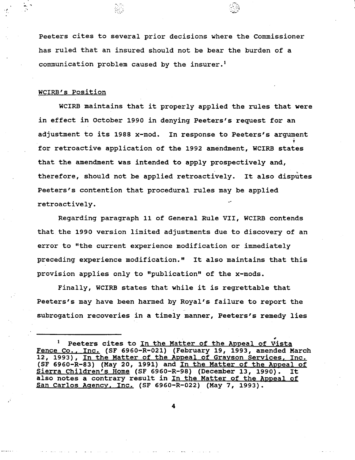Peeters cites to several prior decisions where the Commissioner has ruled that an insured should not be bear the burden of a communication problem caused by the insurer.<sup>1</sup>

-·~-;

 $\frac{1}{2}$  ,  $\frac{1}{2}$  ,  $\frac{1}{2}$  ,  $\frac{1}{2}$  ,  $\frac{1}{2}$  ,  $\frac{1}{2}$  ,  $\frac{1}{2}$  ,  $\frac{1}{2}$  ,  $\frac{1}{2}$  ,  $\frac{1}{2}$  ,  $\frac{1}{2}$  ,  $\frac{1}{2}$  ,  $\frac{1}{2}$  ,  $\frac{1}{2}$  ,  $\frac{1}{2}$  ,  $\frac{1}{2}$  ,  $\frac{1}{2}$  ,  $\frac{1}{2}$  ,  $\frac{1$ 

#### WCIRB's Position

WCIRB maintains that it properly applied the rules that were in effect in October 1990 in denying Peeters's request for an adjustment to its 1988 x-mod. In response to Peeters's argument for retroactive application of the 1992 amendment, WCIRB states that the amendment was intended to apply prospectively and, therefore, should not be applied retroactively. It also disputes Peeters's contention that procedural rules may be applied retroactively.

Regarding paragraph 11 of General Rule VII, WCIRB contends that the 1990 version limited adjustments due to discovery of an error to "the current experience modification or immediately preceding experience modification." It also maintains that this provision applies only to "publication" of the x-mods.

Finally, WCIRB states that while it is regrettable that Peeters's may have been harmed by Royal's failure to report the subrogation recoveries in a timely manner, Peeters's remedy lies

Peeters cites to In the Matter of the Appeal of Vista Fence Co., Inc. (SF 6960-R-021) (February 19, 1993, amended March 12, 1993), In the Matter of the Appeal of Grayson Services. Inc. (SF 6960-R-83) (May 20, 1991) and In the Matter of the Appeal of Sierra Children's Home (SF 6960-R-98) (December 13, 1990). It also notes a contrary result in In the Matter of the Appeal of San Carlos Agency. Inc. (SF 6960-R-022) (May 7, 1993).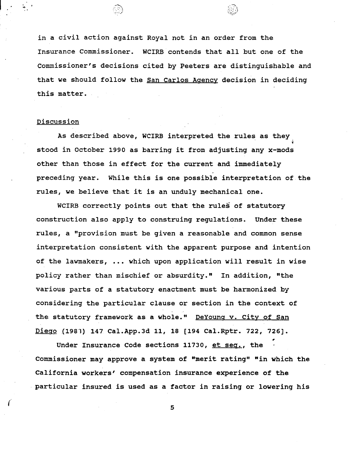in a civil action against Royal not in an order from the Insurance Commissioner. WCIRB contends that all but one of the Commissioner's decisions cited by Peeters are distinguishable and that we should follow the San Carlos Agency decision in deciding this matter.

..·., *·-~~i~/)* 

..... :;'.?1 .·,\_

#### Discussion

As described above, WCIRB interpreted the rules as they stood in October 1990 as barring it from adjusting any x-mods' other than those in effect for the current and immediately preceding year. While this is one possible interpretation of the rules, we believe that it is an unduly mechanical one.

WCIRB correctly points out that the rules of statutory construction also apply to construing regulations. Under these rules, a "provision must be given a reasonable and common sense interpretation consistent with the apparent purpose and intention of the lawmakers, ••• which upon application will result in wise policy rather than mischief or absurdity." In addition, "the various parts of a statutory enactment must be harmonized by considering the particular clause or section in the context of the statutory framework as a whole." DeYoung v. City of San Diego (1983) 147 Cal.App.3d 11, 18 [194 Cal.Rptr. 722, 726]. ,

Under Insurance Code sections 11730, et seq., the Commissioner may approve a system of "merit rating" "in which the California workers' compensation insurance experience of the particular insured is used as a factor in raising or lowering his

<sup>5</sup> *(*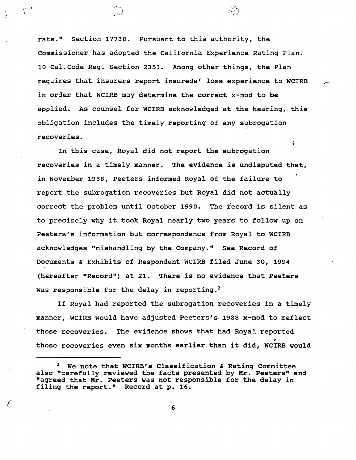rate." Section 17730. Pursuant to this authority, the Commissioner has adopted the California Experience Rating Plan. 10 Cal.Code Reg. Section 2353. Among other things, the Plan requires that insurers report insureds' loss experience to WCIRB in order that WCIRB may determine the correct x-mod to be applied. As counsel for WCIRB acknowledged at the hearing, this obligation includes the timely reporting of any subrogation recoveries.

,;

,. . ··I \_:\_~,:\ .... ,;' . *-:.·/* 

 $\mathcal{L}^{\mathcal{I}}$  . The set of the set of the set of the set of the set of the set of the set of the set of the set of the set of the set of the set of the set of the set of the set of the set of the set of the set of the s

*(* 

In this case, Royal did not report the subrogation recoveries in a timely manner. The evidence is undisputed that, in November 1988, Peeters informed Royal of the failure to report the subrogation recoveries but Royal did not actually correct the problem until October 1990. The record is silent as to precisely why it took Royal nearly two years to follow up on Peeters's information but correspondence from Royal to WCIRB acknowledges "mishandling by the Company." See Record of Documents & Exhibits of Respondent WCIRB filed June 30, 1994 (hereafter "Record") at 21. There is no evidence that Peeters was responsible for the delay in reporting.<sup>2</sup>

If Royal had reported the subrogation recoveries in a timely manner, WCIRB would have adjusted Peeters's 1988 x-mod to reflect those recoveries. The evidence shows that had Royal reported those recoveries even six months earlier than it did, WCIRB would

We note that WCIRB's Classification & Rating Committee also "carefully reviewed the facts presented by Mr. Peeters" and "agreed that Mr. Peeters was not responsible for the delay in filing the report." Record at p. 16.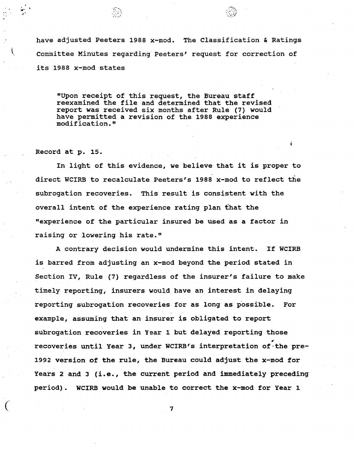have adjusted Peeters 1988 x-mod. The Classification & Ratings \. Committee Minutes regarding Peeters' request for correction of its 1988 x-mod states

"Upon receipt of this request, the Bureau staff reexamined the file and determined that the revised report was received six months after Rule (7) would have permitted a revision of the 1988 experience modification."

Record at p. 15.  $\dot{\theta}$ 

 $\ddotsc$ .,.

> In light of this evidence, we believe that it is proper to direct WCIRB to recalculate Peeters's 1988 x-mod to reflect the subrogation recoveries. This result is consistent with the overall intent of the experience rating plan that the "experience of the particular insured be used as a factor in raising or lowering his rate."

A contrary decision would undermine this intent. If WCIRB is barred from adjusting an x-mod beyond the period stated in Section IV, Rule (7) regardless of the insurer's failure to make timely reporting, insurers would have an interest in delaying reporting subrogation recoveries for as long as possible. For example, assuming that an insurer is obligated to report subrogation recoveries in Year 1 but delayed reporting those , recoveries until Year 3, under WCIRB's interpretation of·the pre-1992 version of the rule, the Bureau could adjust the x-mod for Years 2 and *3* (i.e., the current period and immediately preceding period). WCIRB would be unable to correct the x-mod for Year 1

*(* 7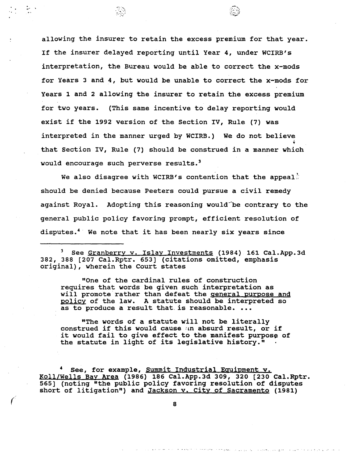allowing the insurer to retain the excess premium for that year. If the insurer delayed reporting until Year 4, under WCIRB's interpretation, the Bureau would be able to correct the x-mods for Years 3 and 4, but would be unable to correct the x-mods for Years 1 and 2 allowing the insurer to retain the excess premium for two years. (This same incentive to delay reporting would exist if the 1992 version of the Section IV, Rule (7) was interpreted in the manner urged by WCIRB.) We do not believe that Section IV, Rule (7) should be construed in a manner **which** ' would encourage such perverse results.<sup>3</sup>

*i!~iJ)* 

. -, ...

We also disagree with WCIRB's contention that the appeal: should be denied because Peeters could pursue a civil remedy against Royal. Adopting this reasoning would be contrary to the general public policy favoring prompt, efficient resolution of disputes.<sup>4</sup> We note that it has been nearly six years since

<sup>3</sup>See Granberry v. Islay Investments (1984) 161 [Cal.App.3d](https://Cal.App.3d) 382, 388 [207 Cal.Rptr. 653) (citations omitted, emphasis original), wherein the Court states

"One of the cardinal rules of construction requires that words be given such interpretation as will promote rather than defeat the general purpose and policy of the law. A statute should be interpreted so as to produce a result that is reasonable. ...

"The words of a statute **will** not be literally construed if this would cause ;m absurd result, or if it would fail to give effect to the manifest purpose of the statute in light of its legislative history."

See, for example, Summit Industrial Equipment v. Koll/Wells Bay Area (1986) 186 [Cal.App.3d](https://Cal.App.3d) 309, 320 [230 Cal.Rptr. 565) (noting "the public policy favoring resolution of disputes short of litigation") and Jackson v. City of Sacramento (1981)

<sup>8</sup> *(* 

الواد ووالوي الراد المهرو فالجاد الرقيل وولاء الرودا فجروه والوالي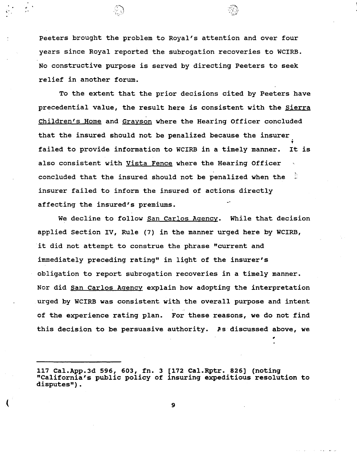Peeters brought the problem to Royal's attention and over four years since Royal reported the subrogation recoveries to WCIRB. No constructive purpose is served by directing Peeters to seek relief in another forum.

To the extent that the prior decisions cited by Peeters have precedential value, the result here is consistent with the Sierra Children's Home and Grayson where the Hearing Officer concluded that the insured should not be penalized because the insurer failed to provide information to WCIRB in a timely manner. It is also consistent with Vista Fence where the Hearing Officer concluded that the insured should not be penalized when the  $\frac{1}{2}$ insurer failed to inform the insured of actions directly affecting the insured's premiums.

We decline to follow San Carlos Agency. While that decision applied Section IV, Rule (7) in the manner urged here by WCIRB, it did not attempt to construe the phrase "current and immediately preceding rating" in light of the insurer's obligation to report subrogation recoveries in a timely manner. Nor did San Carlos Agency explain how adopting the interpretation urged by WCIRB was consistent with the overall purpose and intent of the experience rating plan. For these reasons, we do not find this decision to be persuasive authority. As discussed above, we

 $($  9

<sup>117</sup> [Cal.App.3d](https://Cal.App.3d) 596, 603, fn. 3 [172 Cal.Rptr. 826] (noting "California's public policy of insuring expeditious resolution to disputes").